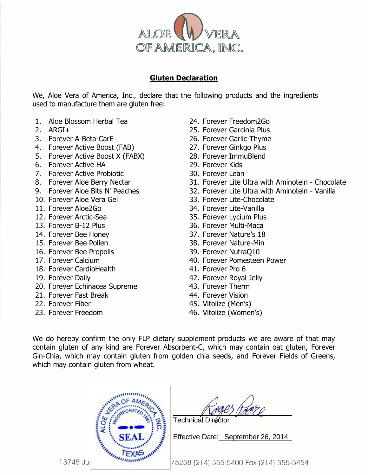

## **Gluten Declaration**

We, Aloe Vera of America, Inc., declare that the following products and the ingredients used to manufacture them are gluten free:

- 1. Aloe Blossom Herbal Tea
- 2. ARGI+
- 3. Forever A-Beta-CarE
- 4. Forever Active Boost (FAB)
- 5. Forever Active Boost X (FABX)
- 6. Forever Active HA
- 7. Forever Active Probiotic
- 8. Forever Aloe Berry Nectar
- 9. Forever Aloe Bits N' Peaches
- 10. Forever Aloe Vera Gel
- 11. Forever Aloe2Go
- 12. Forever Arctic-Sea
- 13. Forever B-12 Plus
- 14. Forever Bee Honey
- 15. Forever Bee Pollen
- 16. Forever Bee Propolis
- 17. Forever Calcium
- 18. Forever CardioHealth
- 19. Forever Daily
- 20. Forever Echinacea Supreme
- 21. Forever Fast Break
- 22. Forever Fiber
- 23. Forever Freedom
- 24. Forever Freedom2Go
- 25. Forever Garcinia Plus
- 26. Forever Garlic-Thyme
- 27. Forever Ginkgo Plus
- 28. Forever ImmuBlend
- 29. Forever Kids
- 30. Forever Lean
- 31. Forever Lite Ultra with Aminotein Chocolate
- 32. Forever Lite Ultra with Aminotein Vanilla
- 33. Forever Lite-Chocolate
- 34. Forever Lite-Vanilla
- 35. Forever Lycium Plus
- 36. Forever Multi-Maca
- 37. Forever Nature's 18
- 38. Forever Nature-Min
- 39. Forever NutraQ10
- 40. Forever Pomesteen Power
- 41. Forever Pro 6
- 42. Forever Royal Jelly
- 43. Forever Therm
- 44. Forever Vision
- 45. Vitolize (Men's)
- 46. Vitolize (Women's)

We do hereby confirm the only FLP dietary supplement products we are aware of that may contain gluten of any kind are Forever Absorbent-C, which may contain oat gluten, Forever Gin-Chia, which may contain gluten from golden chia seeds, and Forever Fields of Greens, which may contain gluten from wheat.



Technical

Effective Date: September 26, 2014

75238 (214) 355-5400 Fax (214) 355-5454